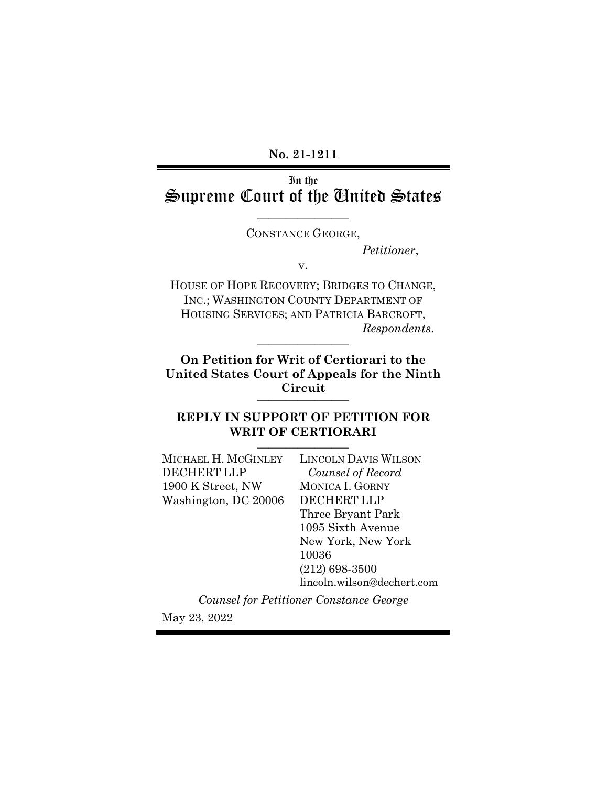**No. 21-1211**

# In the Supreme Court of the United States

 $\overline{\phantom{a}}$  , where  $\overline{\phantom{a}}$ CONSTANCE GEORGE,

*Petitioner*,

v.

HOUSE OF HOPE RECOVERY; BRIDGES TO CHANGE, INC.; WASHINGTON COUNTY DEPARTMENT OF HOUSING SERVICES; AND PATRICIA BARCROFT,  $Response$ *Respondents.* 

**On Petition for Writ of Certiorari to the United States Court of Appeals for the Ninth Circuit** \_\_\_\_\_\_\_\_\_\_\_\_\_\_\_\_

## **REPLY IN SUPPORT OF PETITION FOR**  WRIT OF CERTIORARI

| MICHAEL H. MCGINLEY  | <b>LINCOLN DAVIS WILSON</b>             |
|----------------------|-----------------------------------------|
| <b>DECHERT LLP</b>   | Counsel of Record                       |
| 1900 K Street, NW    | <b>MONICA I. GORNY</b>                  |
| Washington, DC 20006 | <b>DECHERT LLP</b>                      |
|                      | Three Bryant Park                       |
|                      | 1095 Sixth Avenue                       |
|                      | New York, New York                      |
|                      | 10036                                   |
|                      | $(212)$ 698-3500                        |
|                      | lincoln.wilson@dechert.com              |
|                      | Counsel for Petitioner Constance George |

May 23, 2022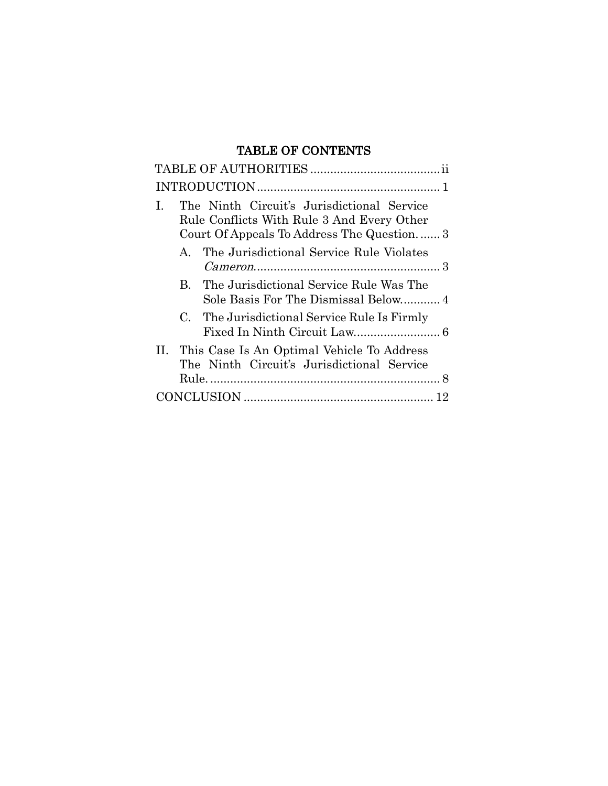# TABLE OF CONTENTS

| The Ninth Circuit's Jurisdictional Service<br>$\mathbf{I}$<br>Rule Conflicts With Rule 3 And Every Other<br>Court Of Appeals To Address The Question 3 |
|--------------------------------------------------------------------------------------------------------------------------------------------------------|
| The Jurisdictional Service Rule Violates<br>$\mathbf{A}$                                                                                               |
| B. The Jurisdictional Service Rule Was The                                                                                                             |
| C. The Jurisdictional Service Rule Is Firmly                                                                                                           |
| II. This Case Is An Optimal Vehicle To Address<br>The Ninth Circuit's Jurisdictional Service                                                           |
|                                                                                                                                                        |
|                                                                                                                                                        |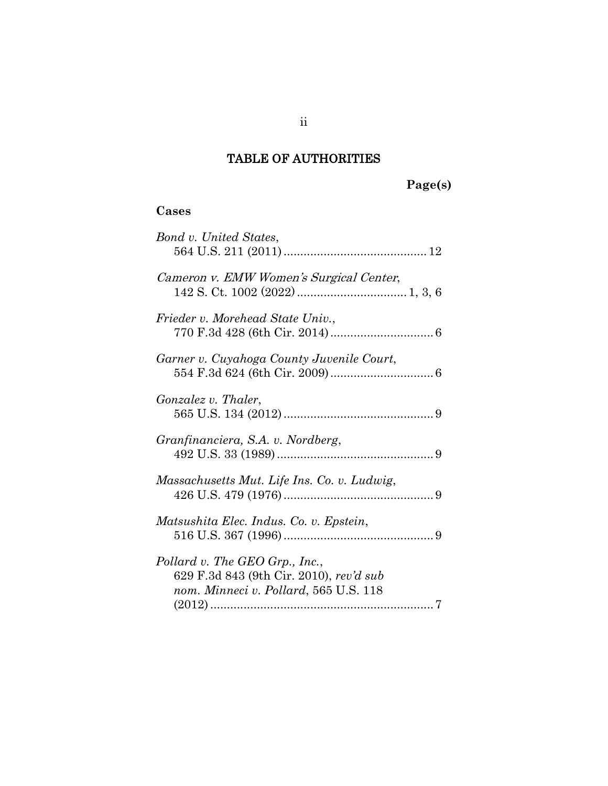# TABLE OF AUTHORITIES

# **Page(s)**

# **Cases**

| Bond v. United States,                                                                                             |
|--------------------------------------------------------------------------------------------------------------------|
| Cameron v. EMW Women's Surgical Center,                                                                            |
| Frieder v. Morehead State Univ.,                                                                                   |
| Garner v. Cuyahoga County Juvenile Court,                                                                          |
| <i>Gonzalez v. Thaler,</i>                                                                                         |
| Granfinanciera, S.A. v. Nordberg,                                                                                  |
| Massachusetts Mut. Life Ins. Co. v. Ludwig,                                                                        |
| Matsushita Elec. Indus. Co. v. Epstein,                                                                            |
| Pollard v. The GEO Grp., Inc.,<br>629 F.3d 843 (9th Cir. 2010), rev'd sub<br>nom. Minneci v. Pollard, 565 U.S. 118 |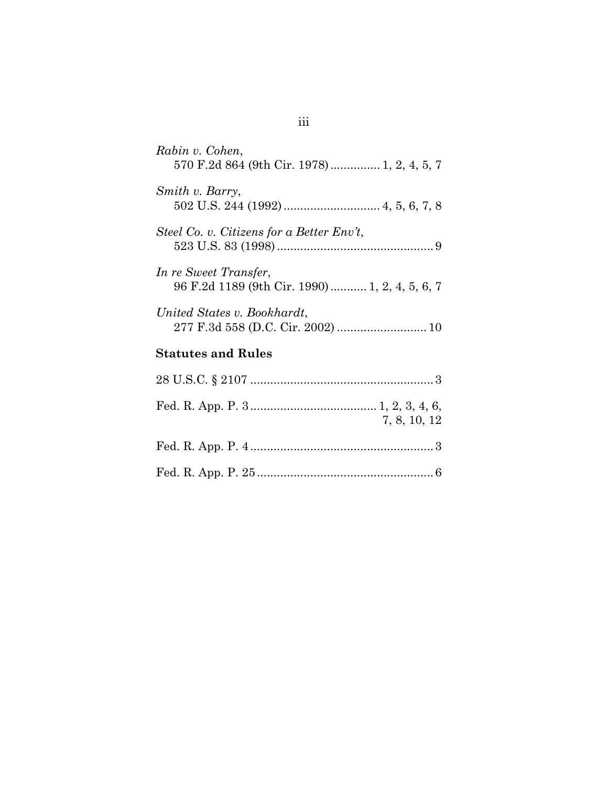| Rabin v. Cohen,<br>570 F.2d 864 (9th Cir. 1978)  1, 2, 4, 5, 7          |
|-------------------------------------------------------------------------|
| Smith v. Barry,                                                         |
| Steel Co. v. Citizens for a Better Env't,                               |
| In re Sweet Transfer,<br>96 F.2d 1189 (9th Cir. 1990)  1, 2, 4, 5, 6, 7 |
| United States v. Bookhardt,<br>277 F.3d 558 (D.C. Cir. 2002)  10        |
| <b>Statutes and Rules</b>                                               |
|                                                                         |
| 7, 8, 10, 12                                                            |
|                                                                         |
|                                                                         |

# iii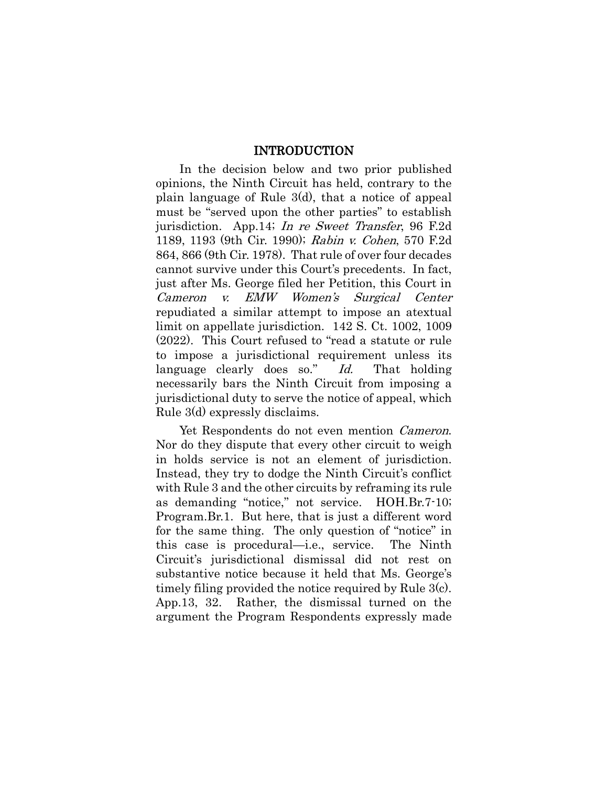#### <span id="page-4-0"></span>INTRODUCTION

In the decision below and two prior published opinions, the Ninth Circuit has held, contrary to the plain language of Rule 3(d), that a notice of appeal must be "served upon the other parties" to establish jurisdiction. App.14; In re Sweet Transfer, 96 F.2d 1189, 1193 (9th Cir. 1990); Rabin v. Cohen, 570 F.2d 864, 866 (9th Cir. 1978). That rule of over four decades cannot survive under this Court's precedents. In fact, just after Ms. George filed her Petition, this Court in Cameron v. EMW Women's Surgical Center repudiated a similar attempt to impose an atextual limit on appellate jurisdiction. 142 S. Ct. 1002, 1009 (2022). This Court refused to "read a statute or rule to impose a jurisdictional requirement unless its language clearly does so." Id. That holding necessarily bars the Ninth Circuit from imposing a jurisdictional duty to serve the notice of appeal, which Rule 3(d) expressly disclaims.

Yet Respondents do not even mention Cameron. Nor do they dispute that every other circuit to weigh in holds service is not an element of jurisdiction. Instead, they try to dodge the Ninth Circuit's conflict with Rule 3 and the other circuits by reframing its rule as demanding "notice," not service. HOH.Br.7-10; Program.Br.1. But here, that is just a different word for the same thing. The only question of "notice" in this case is procedural—i.e., service. The Ninth Circuit's jurisdictional dismissal did not rest on substantive notice because it held that Ms. George's timely filing provided the notice required by Rule 3(c). App.13, 32. Rather, the dismissal turned on the argument the Program Respondents expressly made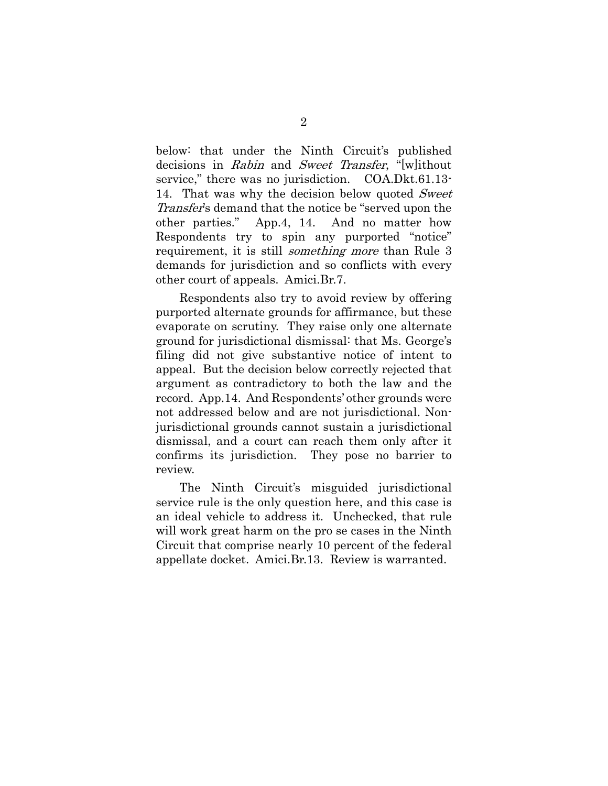<span id="page-5-0"></span>below: that under the Ninth Circuit's published decisions in Rabin and Sweet Transfer, "[w]ithout service," there was no jurisdiction. COA.Dkt.61.13-14. That was why the decision below quoted Sweet Transfer's demand that the notice be "served upon the other parties." App.4, 14. And no matter how Respondents try to spin any purported "notice" requirement, it is still *something more* than Rule 3 demands for jurisdiction and so conflicts with every other court of appeals. Amici.Br.7.

Respondents also try to avoid review by offering purported alternate grounds for affirmance, but these evaporate on scrutiny. They raise only one alternate ground for jurisdictional dismissal: that Ms. George's filing did not give substantive notice of intent to appeal. But the decision below correctly rejected that argument as contradictory to both the law and the record. App.14. And Respondents' other grounds were not addressed below and are not jurisdictional. Nonjurisdictional grounds cannot sustain a jurisdictional dismissal, and a court can reach them only after it confirms its jurisdiction. They pose no barrier to review.

The Ninth Circuit's misguided jurisdictional service rule is the only question here, and this case is an ideal vehicle to address it. Unchecked, that rule will work great harm on the pro se cases in the Ninth Circuit that comprise nearly 10 percent of the federal appellate docket. Amici.Br.13. Review is warranted.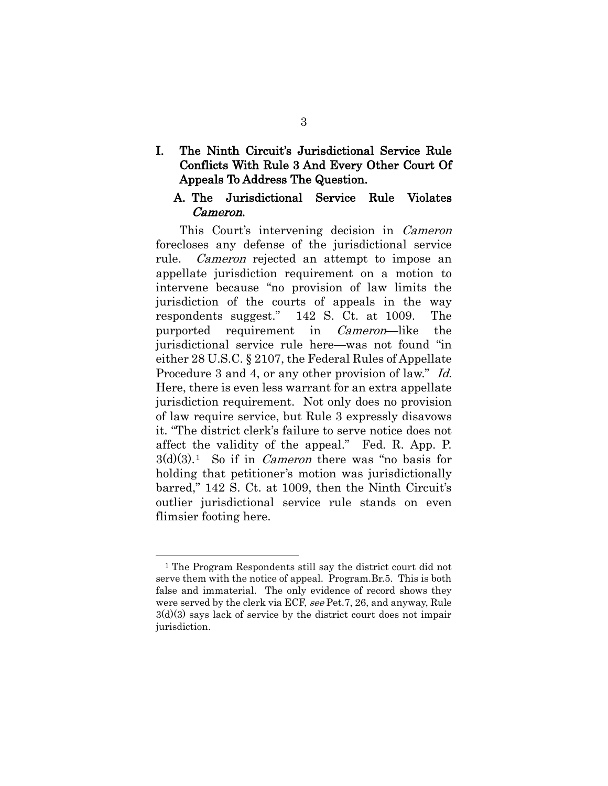## I. The Ninth Circuit's Jurisdictional Service Rule Conflicts With Rule 3 And Every Other Court Of Appeals To Address The Question.

## A. The Jurisdictional Service Rule Violates Cameron.

<span id="page-6-1"></span><span id="page-6-0"></span>This Court's intervening decision in *Cameron* forecloses any defense of the jurisdictional service rule. *Cameron* rejected an attempt to impose an appellate jurisdiction requirement on a motion to intervene because "no provision of law limits the jurisdiction of the courts of appeals in the way respondents suggest." 142 S. Ct. at 1009. The purported requirement in *Cameron*—like the jurisdictional service rule here—was not found "in either 28 U.S.C. § 2107, the Federal Rules of Appellate Procedure 3 and 4, or any other provision of law." Id. Here, there is even less warrant for an extra appellate jurisdiction requirement. Not only does no provision of law require service, but Rule 3 expressly disavows it. "The district clerk's failure to serve notice does not affect the validity of the appeal." Fed. R. App. P.  $3(d)(3).$ <sup>1</sup> So if in *Cameron* there was "no basis for holding that petitioner's motion was jurisdictionally barred," 142 S. Ct. at 1009, then the Ninth Circuit's outlier jurisdictional service rule stands on even flimsier footing here.

<span id="page-6-2"></span><sup>&</sup>lt;sup>1</sup> The Program Respondents still say the district court did not serve them with the notice of appeal. Program.Br.5. This is both false and immaterial. The only evidence of record shows they were served by the clerk via ECF, see Pet.7, 26, and anyway, Rule 3(d)(3) says lack of service by the district court does not impair jurisdiction.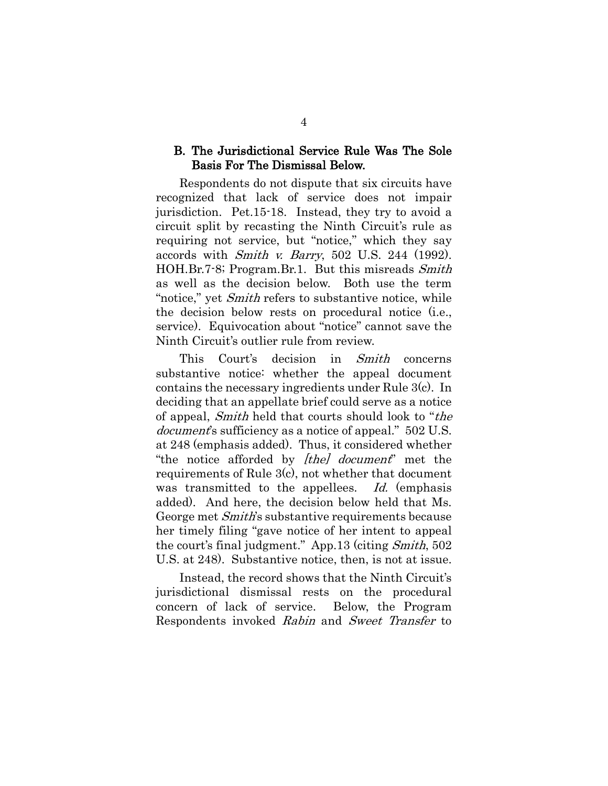## B. The Jurisdictional Service Rule Was The Sole Basis For The Dismissal Below.

<span id="page-7-1"></span>Respondents do not dispute that six circuits have recognized that lack of service does not impair jurisdiction. Pet.15-18. Instead, they try to avoid a circuit split by recasting the Ninth Circuit's rule as requiring not service, but "notice," which they say accords with *Smith v. Barry*, 502 U.S. 244 (1992). HOH.Br.7-8; Program.Br.1. But this misreads Smith as well as the decision below. Both use the term "notice," yet Smith refers to substantive notice, while the decision below rests on procedural notice (i.e., service). Equivocation about "notice" cannot save the Ninth Circuit's outlier rule from review.

This Court's decision in Smith concerns substantive notice: whether the appeal document contains the necessary ingredients under Rule 3(c). In deciding that an appellate brief could serve as a notice of appeal, Smith held that courts should look to "the document's sufficiency as a notice of appeal." 502 U.S. at 248 (emphasis added). Thus, it considered whether "the notice afforded by *[the] document*" met the requirements of Rule 3(c), not whether that document was transmitted to the appellees. Id. (emphasis added). And here, the decision below held that Ms. George met Smith's substantive requirements because her timely filing "gave notice of her intent to appeal the court's final judgment." App.13 (citing Smith, 502 U.S. at 248). Substantive notice, then, is not at issue.

<span id="page-7-0"></span>Instead, the record shows that the Ninth Circuit's jurisdictional dismissal rests on the procedural concern of lack of service. Below, the Program Respondents invoked Rabin and Sweet Transfer to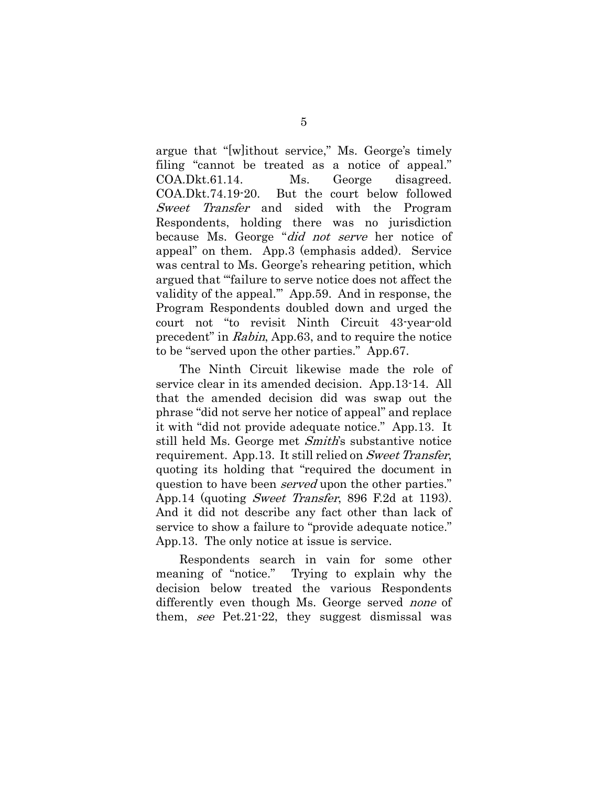argue that "[w]ithout service," Ms. George's timely filing "cannot be treated as a notice of appeal." COA.Dkt.61.14. Ms. George disagreed. COA.Dkt.74.19-20. But the court below followed Sweet Transfer and sided with the Program Respondents, holding there was no jurisdiction because Ms. George "did not serve her notice of appeal" on them. App.3 (emphasis added). Service was central to Ms. George's rehearing petition, which argued that "'failure to serve notice does not affect the validity of the appeal.'" App.59. And in response, the Program Respondents doubled down and urged the court not "to revisit Ninth Circuit 43-year-old precedent" in Rabin, App.63, and to require the notice to be "served upon the other parties." App.67.

The Ninth Circuit likewise made the role of service clear in its amended decision. App.13-14. All that the amended decision did was swap out the phrase "did not serve her notice of appeal" and replace it with "did not provide adequate notice." App.13. It still held Ms. George met Smith's substantive notice requirement. App.13. It still relied on Sweet Transfer, quoting its holding that "required the document in question to have been *served* upon the other parties." App.14 (quoting *Sweet Transfer*, 896 F.2d at 1193). And it did not describe any fact other than lack of service to show a failure to "provide adequate notice." App.13. The only notice at issue is service.

Respondents search in vain for some other meaning of "notice." Trying to explain why the decision below treated the various Respondents differently even though Ms. George served none of them, see Pet.21-22, they suggest dismissal was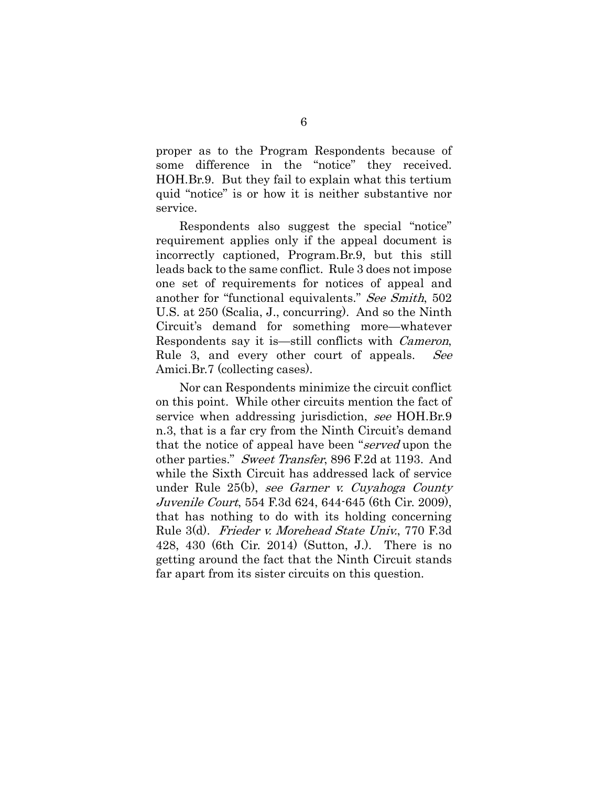proper as to the Program Respondents because of some difference in the "notice" they received. HOH.Br.9. But they fail to explain what this tertium quid "notice" is or how it is neither substantive nor service.

<span id="page-9-2"></span>Respondents also suggest the special "notice" requirement applies only if the appeal document is incorrectly captioned, Program.Br.9, but this still leads back to the same conflict. Rule 3 does not impose one set of requirements for notices of appeal and another for "functional equivalents." See Smith, 502 U.S. at 250 (Scalia, J., concurring). And so the Ninth Circuit's demand for something more—whatever Respondents say it is—still conflicts with Cameron, Rule 3, and every other court of appeals. See Amici.Br.7 (collecting cases).

<span id="page-9-3"></span><span id="page-9-1"></span><span id="page-9-0"></span>Nor can Respondents minimize the circuit conflict on this point. While other circuits mention the fact of service when addressing jurisdiction, see HOH.Br.9 n.3, that is a far cry from the Ninth Circuit's demand that the notice of appeal have been "served upon the other parties." Sweet Transfer, 896 F.2d at 1193. And while the Sixth Circuit has addressed lack of service under Rule 25(b), see Garner v. Cuyahoga County Juvenile Court, 554 F.3d 624, 644-645 (6th Cir. 2009), that has nothing to do with its holding concerning Rule 3(d). Frieder v. Morehead State Univ., 770 F.3d 428, 430 (6th Cir. 2014) (Sutton, J.). There is no getting around the fact that the Ninth Circuit stands far apart from its sister circuits on this question.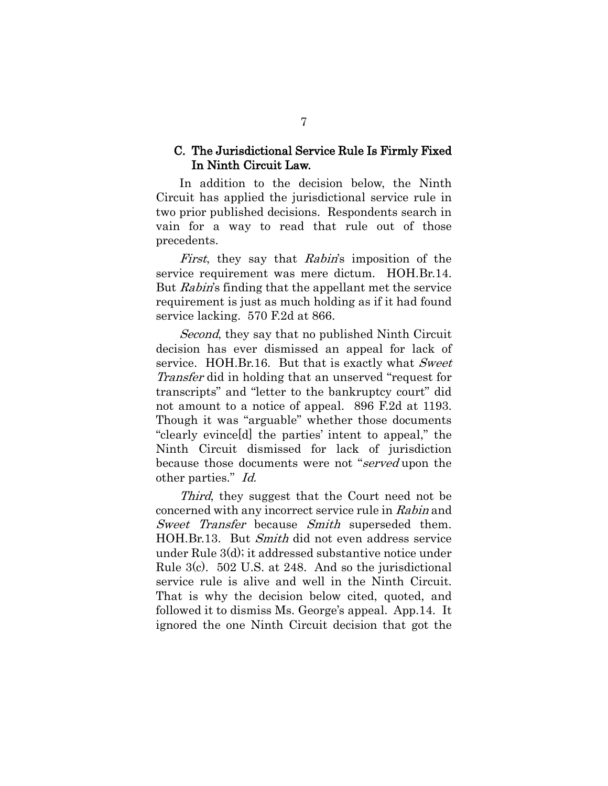## C. The Jurisdictional Service Rule Is Firmly Fixed In Ninth Circuit Law.

In addition to the decision below, the Ninth Circuit has applied the jurisdictional service rule in two prior published decisions. Respondents search in vain for a way to read that rule out of those precedents.

First, they say that Rabin's imposition of the service requirement was mere dictum. HOH.Br.14. But *Rabin's* finding that the appellant met the service requirement is just as much holding as if it had found service lacking. 570 F.2d at 866.

<span id="page-10-0"></span>Second, they say that no published Ninth Circuit decision has ever dismissed an appeal for lack of service. HOH.Br.16. But that is exactly what Sweet Transfer did in holding that an unserved "request for transcripts" and "letter to the bankruptcy court" did not amount to a notice of appeal. 896 F.2d at 1193. Though it was "arguable" whether those documents "clearly evince[d] the parties' intent to appeal," the Ninth Circuit dismissed for lack of jurisdiction because those documents were not "served upon the other parties." Id.

<span id="page-10-1"></span>Third, they suggest that the Court need not be concerned with any incorrect service rule in Rabin and Sweet Transfer because Smith superseded them. HOH.Br.13. But Smith did not even address service under Rule 3(d); it addressed substantive notice under Rule 3(c). 502 U.S. at 248. And so the jurisdictional service rule is alive and well in the Ninth Circuit. That is why the decision below cited, quoted, and followed it to dismiss Ms. George's appeal. App.14. It ignored the one Ninth Circuit decision that got the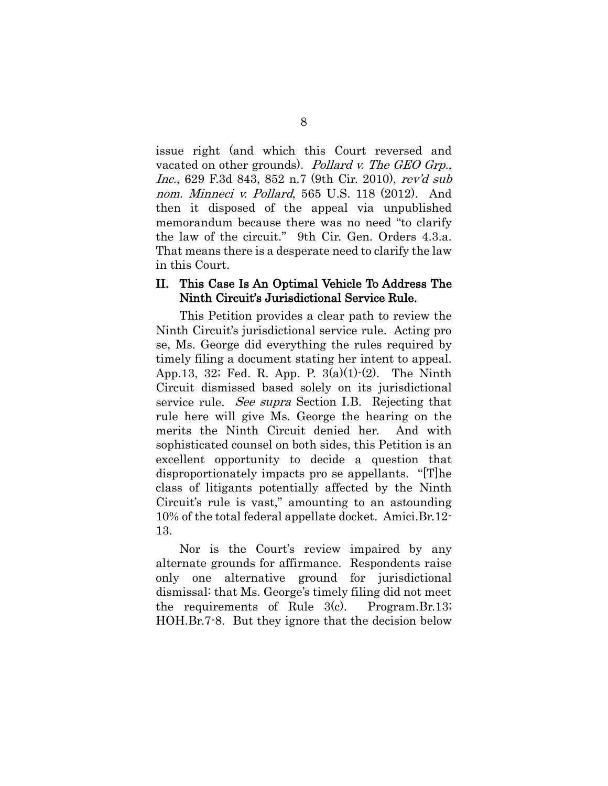<span id="page-11-0"></span>issue right (and which this Court reversed and vacated on other grounds). Pollard v. The GEO Grp., Inc., 629 F.3d 843, 852 n.7 (9th Cir. 2010), rev'd sub nom. Minneci v. Pollard, 565 U.S. 118 (2012). And then it disposed of the appeal via unpublished memorandum because there was no need "to clarify the law of the circuit." 9th Cir. Gen. Orders 4.3.a. That means there is a desperate need to clarify the law in this Court.

## II. This Case Is An Optimal Vehicle To Address The Ninth Circuit's Jurisdictional Service Rule.

<span id="page-11-1"></span>This Petition provides a clear path to review the Ninth Circuit's jurisdictional service rule. Acting pro se, Ms. George did everything the rules required by timely filing a document stating her intent to appeal. App.13, 32; Fed. R. App. P.  $3(a)(1)-(2)$ . The Ninth Circuit dismissed based solely on its jurisdictional service rule. *See supra* Section I.B. Rejecting that rule here will give Ms. George the hearing on the merits the Ninth Circuit denied her. And with sophisticated counsel on both sides, this Petition is an excellent opportunity to decide a question that disproportionately impacts pro se appellants. "[T]he class of litigants potentially affected by the Ninth Circuit's rule is vast," amounting to an astounding 10% of the total federal appellate docket. Amici.Br.12- 13.

Nor is the Court's review impaired by any alternate grounds for affirmance. Respondents raise only one alternative ground for jurisdictional dismissal: that Ms. George's timely filing did not meet the requirements of Rule 3(c). Program.Br.13; HOH.Br.7-8. But they ignore that the decision below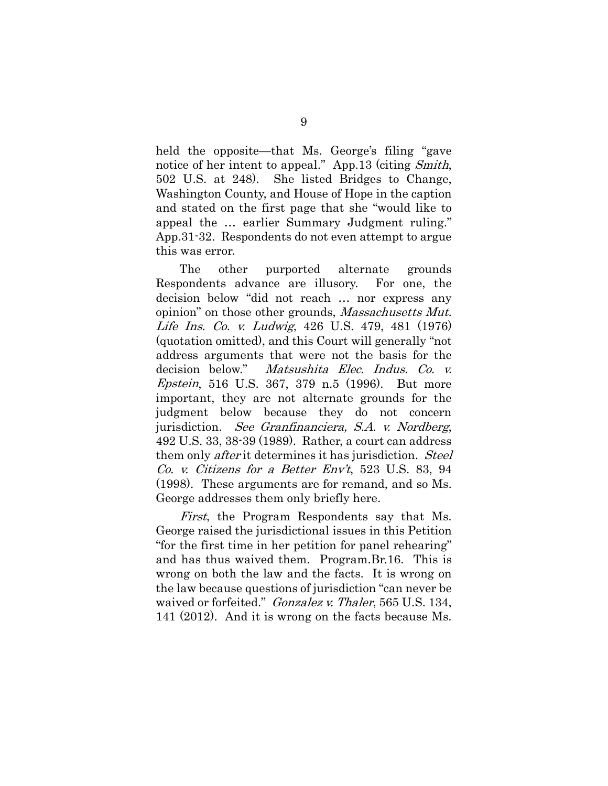held the opposite—that Ms. George's filing "gave notice of her intent to appeal." App.13 (citing Smith, 502 U.S. at 248). She listed Bridges to Change, Washington County, and House of Hope in the caption and stated on the first page that she "would like to appeal the … earlier Summary Judgment ruling." App.31-32. Respondents do not even attempt to argue this was error.

<span id="page-12-2"></span><span id="page-12-1"></span>The other purported alternate grounds Respondents advance are illusory. For one, the decision below "did not reach … nor express any opinion" on those other grounds, *Massachusetts Mut.* Life Ins. Co. v. Ludwig, 426 U.S. 479, 481 (1976) (quotation omitted), and this Court will generally "not address arguments that were not the basis for the decision below." Matsushita Elec. Indus. Co. v. Epstein, 516 U.S. 367, 379 n.5 (1996). But more important, they are not alternate grounds for the judgment below because they do not concern jurisdiction. See Granfinanciera, S.A. v. Nordberg, 492 U.S. 33, 38-39 (1989). Rather, a court can address them only *after* it determines it has jurisdiction. *Steel* Co. v. Citizens for a Better Env't, 523 U.S. 83, 94 (1998). These arguments are for remand, and so Ms. George addresses them only briefly here.

<span id="page-12-3"></span><span id="page-12-0"></span>First, the Program Respondents say that Ms. George raised the jurisdictional issues in this Petition "for the first time in her petition for panel rehearing" and has thus waived them. Program.Br.16. This is wrong on both the law and the facts. It is wrong on the law because questions of jurisdiction "can never be waived or forfeited." Gonzalez v. Thaler, 565 U.S. 134, 141 (2012). And it is wrong on the facts because Ms.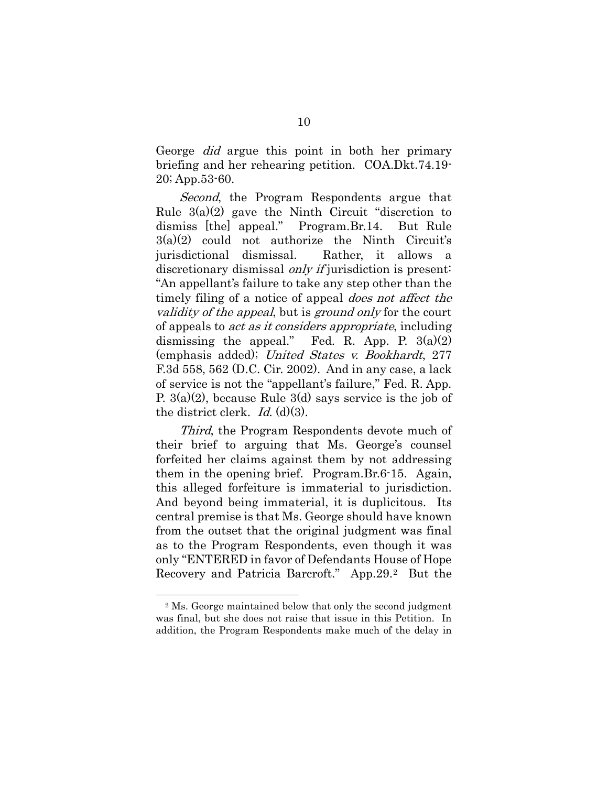George did argue this point in both her primary briefing and her rehearing petition. COA.Dkt.74.19- 20; App.53-60.

Second, the Program Respondents argue that Rule  $3(a)(2)$  gave the Ninth Circuit "discretion to dismiss [the] appeal." Program.Br.14. But Rule  $3(a)(2)$  could not authorize the Ninth Circuit's jurisdictional dismissal. Rather, it allows a discretionary dismissal *only if* jurisdiction is present: "An appellant's failure to take any step other than the timely filing of a notice of appeal *does not affect the* validity of the appeal, but is ground only for the court of appeals to act as it considers appropriate, including dismissing the appeal." Fed. R. App. P.  $3(a)(2)$ (emphasis added); United States v. Bookhardt, 277 F.3d 558, 562 (D.C. Cir. 2002). And in any case, a lack of service is not the "appellant's failure," Fed. R. App. P. 3(a)(2), because Rule 3(d) says service is the job of the district clerk. Id.  $(d)(3)$ .

<span id="page-13-0"></span>Third, the Program Respondents devote much of their brief to arguing that Ms. George's counsel forfeited her claims against them by not addressing them in the opening brief. Program.Br.6-15. Again, this alleged forfeiture is immaterial to jurisdiction. And beyond being immaterial, it is duplicitous. Its central premise is that Ms. George should have known from the outset that the original judgment was final as to the Program Respondents, even though it was only "ENTERED in favor of Defendants House of Hope Recovery and Patricia Barcroft." App.29.[2](#page-13-1) But the

<span id="page-13-1"></span><sup>2</sup> Ms. George maintained below that only the second judgment was final, but she does not raise that issue in this Petition. In addition, the Program Respondents make much of the delay in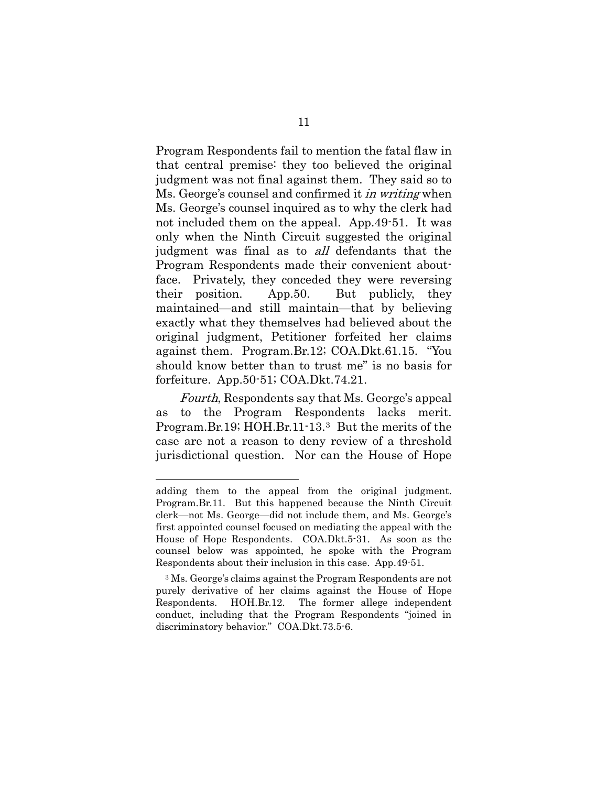Program Respondents fail to mention the fatal flaw in that central premise: they too believed the original judgment was not final against them. They said so to Ms. George's counsel and confirmed it *in writing* when Ms. George's counsel inquired as to why the clerk had not included them on the appeal. App.49-51. It was only when the Ninth Circuit suggested the original judgment was final as to *all* defendants that the Program Respondents made their convenient aboutface. Privately, they conceded they were reversing their position. App.50. But publicly, they maintained—and still maintain—that by believing exactly what they themselves had believed about the original judgment, Petitioner forfeited her claims against them. Program.Br.12; COA.Dkt.61.15. "You should know better than to trust me" is no basis for forfeiture. App.50-51; COA.Dkt.74.21.

Fourth, Respondents say that Ms. George's appeal as to the Program Respondents lacks merit. Program.Br.19; HOH.Br.11-13.[3](#page-14-0) But the merits of the case are not a reason to deny review of a threshold jurisdictional question. Nor can the House of Hope

adding them to the appeal from the original judgment. Program.Br.11. But this happened because the Ninth Circuit clerk—not Ms. George—did not include them, and Ms. George's first appointed counsel focused on mediating the appeal with the House of Hope Respondents. COA.Dkt.5-31. As soon as the counsel below was appointed, he spoke with the Program Respondents about their inclusion in this case. App.49-51.

<span id="page-14-0"></span><sup>3</sup> Ms. George's claims against the Program Respondents are not purely derivative of her claims against the House of Hope Respondents. HOH.Br.12. The former allege independent conduct, including that the Program Respondents "joined in discriminatory behavior." COA.Dkt.73.5-6.